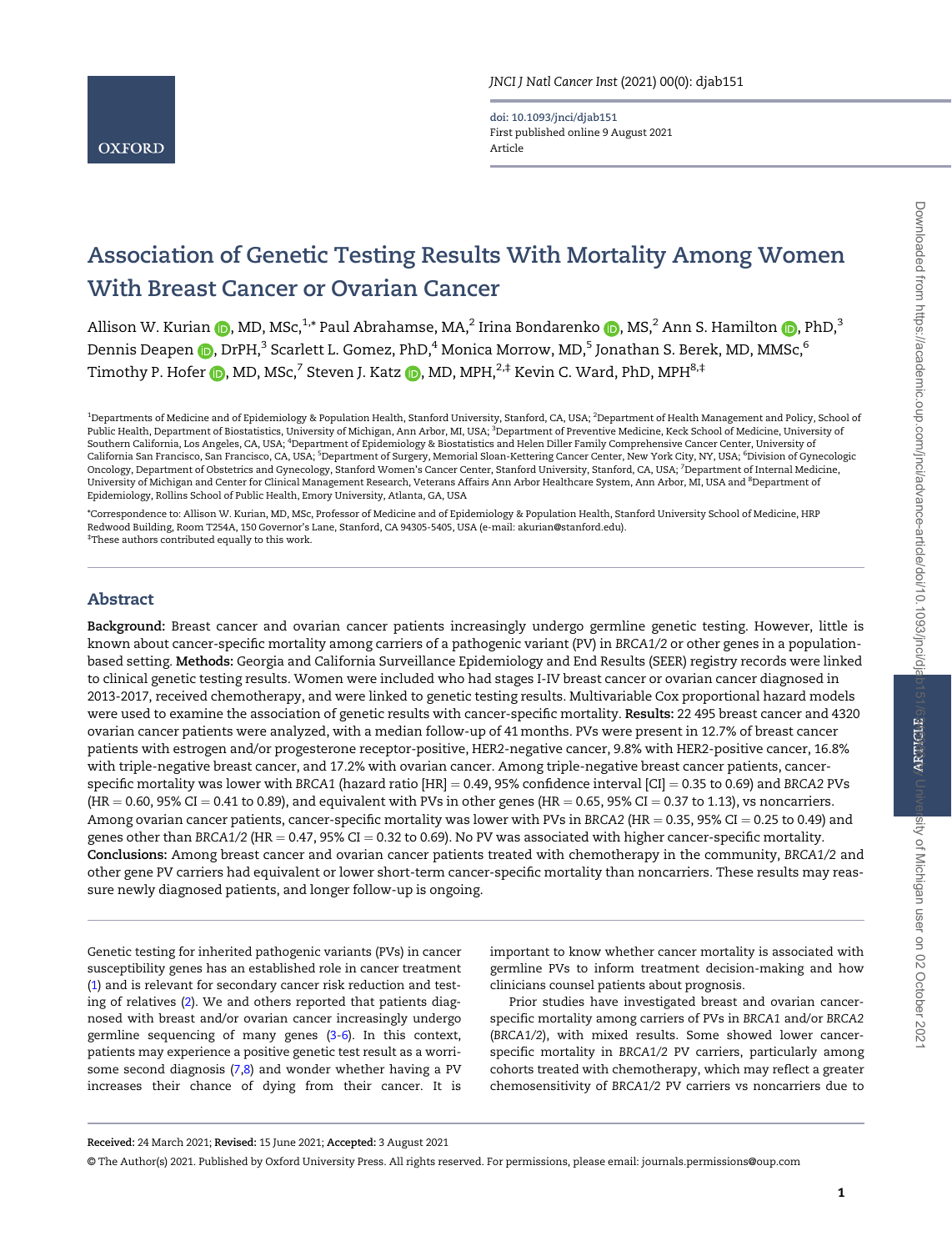doi: 10.1093/jnci/djab151 First published online 9 August 2021 Article

# Association of Genetic Testing Results With Mortality Among Women With Breast Cancer or Ovarian Cancer

Allison W. Kurian  $\bigcirc$ [,](https://orcid.org/0000-0001-5898-2308) MD, MSc,<sup>1,\*</sup> Paul Abrahamse, MA,<sup>2</sup> Irina Bondarenko  $\bigcirc$ , MS,<sup>2</sup> Ann S. Hamilton  $\bigcirc$ , PhD,<sup>3</sup> Dennis Deapen (D[,](https://orcid.org/0000-0002-0037-0277) DrPH,<sup>3</sup> Scarlett L. Gomez, PhD,<sup>4</sup> Monica Morrow, MD,<sup>5</sup> Jonathan S. Berek, MD, MMSc,<sup>6</sup> Timothy P. Hofer  $\bigcirc$ [,](https://orcid.org/0000-0003-0434-8787) MD, MSc,<sup>7</sup> Steven J. Katz  $\bigcirc$ , MD, MPH,<sup>2,‡</sup> Kevin C. Ward, PhD, MPH<sup>8,‡</sup>

\*Correspondence to: Allison W. Kurian, MD, MSc, Professor of Medicine and of Epidemiology & Population Health, Stanford University School of Medicine, HRP Redwood Building, Room T254A, 150 Governor's Lane, Stanford, CA 94305-5405, USA (e-mail: [akurian@stanford.edu\).](mailto:akurian@stanford.edu) ‡ These authors contributed equally to this work.

## Abstract

Background: Breast cancer and ovarian cancer patients increasingly undergo germline genetic testing. However, little is known about cancer-specific mortality among carriers of a pathogenic variant (PV) in BRCA1/2 or other genes in a populationbased setting. Methods: Georgia and California Surveillance Epidemiology and End Results (SEER) registry records were linked to clinical genetic testing results. Women were included who had stages I-IV breast cancer or ovarian cancer diagnosed in 2013-2017, received chemotherapy, and were linked to genetic testing results. Multivariable Cox proportional hazard models were used to examine the association of genetic results with cancer-specific mortality. Results: 22 495 breast cancer and 4320 ovarian cancer patients were analyzed, with a median follow-up of 41 months. PVs were present in 12.7% of breast cancer patients with estrogen and/or progesterone receptor-positive, HER2-negative cancer, 9.8% with HER2-positive cancer, 16.8% with triple-negative breast cancer, and 17.2% with ovarian cancer. Among triple-negative breast cancer patients, cancerspecific mortality was lower with BRCA1 (hazard ratio  $[HR] = 0.49, 95\%$  confidence interval  $[CI] = 0.35$  to 0.69) and BRCA2 PVs  $(HR = 0.60, 95\% CI = 0.41$  to 0.89), and equivalent with PVs in other genes ( $HR = 0.65, 95\% CI = 0.37$  to 1.13), vs noncarriers. Among ovarian cancer patients, cancer-specific mortality was lower with PVs in BRCA2 (HR = 0.35, 95% CI = 0.25 to 0.49) and genes other than BRCA1/2 (HR =  $0.47$ , 95% CI = 0.32 to 0.69). No PV was associated with higher cancer-specific mortality. Conclusions: Among breast cancer and ovarian cancer patients treated with chemotherapy in the community, BRCA1/2 and other gene PV carriers had equivalent or lower short-term cancer-specific mortality than noncarriers. These results may reassure newly diagnosed patients, and longer follow-up is ongoing.

Genetic testing for inherited pathogenic variants (PVs) in cancer susceptibility genes has an established role in cancer treatment ([1](#page-7-0)) and is relevant for secondary cancer risk reduction and testing of relatives ([2\)](#page-7-0). We and others reported that patients diagnosed with breast and/or ovarian cancer increasingly undergo germline sequencing of many genes ([3-6\)](#page-7-0). In this context, patients may experience a positive genetic test result as a worrisome second diagnosis  $(7,8)$  and wonder whether having a PV increases their chance of dying from their cancer. It is important to know whether cancer mortality is associated with germline PVs to inform treatment decision-making and how clinicians counsel patients about prognosis.

Prior studies have investigated breast and ovarian cancerspecific mortality among carriers of PVs in BRCA1 and/or BRCA2 (BRCA1/2), with mixed results. Some showed lower cancerspecific mortality in BRCA1/2 PV carriers, particularly among cohorts treated with chemotherapy, which may reflect a greater chemosensitivity of BRCA1/2 PV carriers vs noncarriers due to

Received: 24 March 2021; Revised: 15 June 2021; Accepted: 3 August 2021

© The Author(s) 2021. Published by Oxford University Press. All rights reserved. For permissions, please email: journals.permissions@oup.com

 $^{\rm 1}$ Departments of Medicine and of Epidemiology & Population Health, Stanford University, Stanford, CA, USA;  $^{\rm 2}$ Department of Health Management and Policy, School of Public Health, Department of Biostatistics, University of Michigan, Ann Arbor, MI, USA; <sup>3</sup>Department of Preventive Medicine, Keck School of Medicine, University of Southern California, Los Angeles, CA, USA; <sup>4</sup>Department of Epidemiology & Biostatistics and Helen Diller Family Comprehensive Cancer Center, University of California San Francisco, San Francisco, CA, USA; <sup>5</sup>Department of Surgery, Memorial Sloan-Kettering Cancer Center, New York City, NY, USA; <sup>6</sup>Division of Gynecologic Oncology, Department of Obstetrics and Gynecology, Stanford Women's Cancer Center, Stanford University, Stanford, CA, USA; <sup>7</sup> Department of Internal Medicine, University of Michigan and Center for Clinical Management Research, Veterans Affairs Ann Arbor Healthcare System, Ann Arbor, MI, USA and <sup>8</sup>Department of Epidemiology, Rollins School of Public Health, Emory University, Atlanta, GA, USA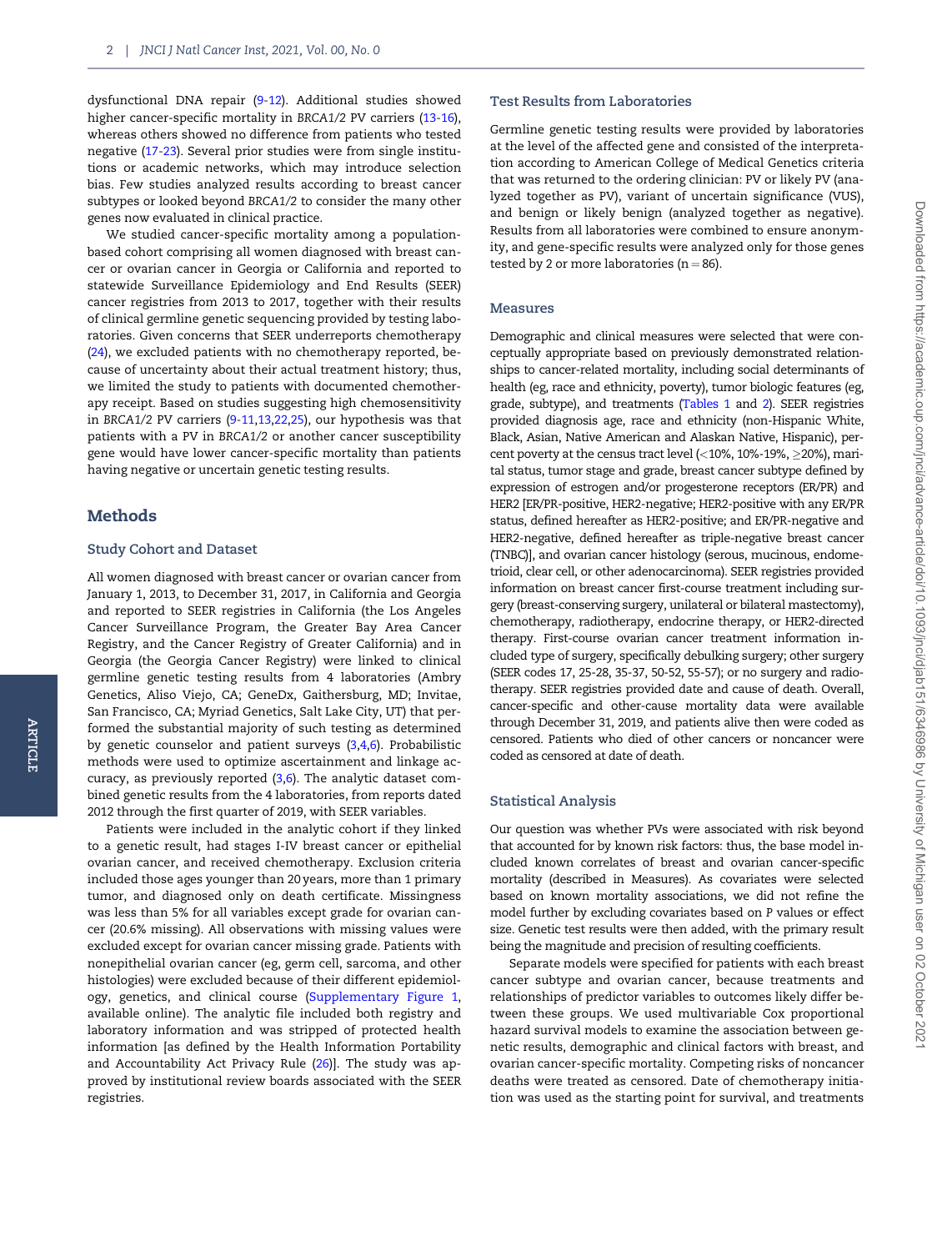dysfunctional DNA repair ([9-12](#page-7-0)). Additional studies showed higher cancer-specific mortality in BRCA1/2 PV carriers ([13-16](#page-7-0)), whereas others showed no difference from patients who tested negative ([17-23](#page-7-0)). Several prior studies were from single institutions or academic networks, which may introduce selection bias. Few studies analyzed results according to breast cancer subtypes or looked beyond BRCA1/2 to consider the many other genes now evaluated in clinical practice.

We studied cancer-specific mortality among a populationbased cohort comprising all women diagnosed with breast cancer or ovarian cancer in Georgia or California and reported to statewide Surveillance Epidemiology and End Results (SEER) cancer registries from 2013 to 2017, together with their results of clinical germline genetic sequencing provided by testing laboratories. Given concerns that SEER underreports chemotherapy ([24](#page-7-0)), we excluded patients with no chemotherapy reported, because of uncertainty about their actual treatment history; thus, we limited the study to patients with documented chemotherapy receipt. Based on studies suggesting high chemosensitivity in BRCA1/2 PV carriers ([9-11,13,22,](#page-7-0)[25](#page-8-0)), our hypothesis was that patients with a PV in BRCA1/2 or another cancer susceptibility gene would have lower cancer-specific mortality than patients having negative or uncertain genetic testing results.

## Methods

#### Study Cohort and Dataset

All women diagnosed with breast cancer or ovarian cancer from January 1, 2013, to December 31, 2017, in California and Georgia and reported to SEER registries in California (the Los Angeles Cancer Surveillance Program, the Greater Bay Area Cancer Registry, and the Cancer Registry of Greater California) and in Georgia (the Georgia Cancer Registry) were linked to clinical germline genetic testing results from 4 laboratories (Ambry Genetics, Aliso Viejo, CA; GeneDx, Gaithersburg, MD; Invitae, San Francisco, CA; Myriad Genetics, Salt Lake City, UT) that performed the substantial majority of such testing as determined by genetic counselor and patient surveys [\(3,4](#page-7-0),[6\)](#page-7-0). Probabilistic methods were used to optimize ascertainment and linkage accuracy, as previously reported ([3,6](#page-7-0)). The analytic dataset combined genetic results from the 4 laboratories, from reports dated 2012 through the first quarter of 2019, with SEER variables.

Patients were included in the analytic cohort if they linked to a genetic result, had stages I-IV breast cancer or epithelial ovarian cancer, and received chemotherapy. Exclusion criteria included those ages younger than 20 years, more than 1 primary tumor, and diagnosed only on death certificate. Missingness was less than 5% for all variables except grade for ovarian cancer (20.6% missing). All observations with missing values were excluded except for ovarian cancer missing grade. Patients with nonepithelial ovarian cancer (eg, germ cell, sarcoma, and other histologies) were excluded because of their different epidemiology, genetics, and clinical course [\(Supplementary Figure 1,](https://academic.oup.com/jnci/article-lookup/doi/10.1093/jnci/djab151#supplementary-data) available online). The analytic file included both registry and laboratory information and was stripped of protected health information [as defined by the Health Information Portability and Accountability Act Privacy Rule ([26\)](#page-8-0)]. The study was approved by institutional review boards associated with the SEER registries.

#### Test Results from Laboratories

Germline genetic testing results were provided by laboratories at the level of the affected gene and consisted of the interpretation according to American College of Medical Genetics criteria that was returned to the ordering clinician: PV or likely PV (analyzed together as PV), variant of uncertain significance (VUS), and benign or likely benign (analyzed together as negative). Results from all laboratories were combined to ensure anonymity, and gene-specific results were analyzed only for those genes tested by 2 or more laboratories ( $n = 86$ ).

#### Measures

Demographic and clinical measures were selected that were conceptually appropriate based on previously demonstrated relationships to cancer-related mortality, including social determinants of health (eg, race and ethnicity, poverty), tumor biologic features (eg, grade, subtype), and treatments [\(Tables 1](#page-2-0) and [2](#page-3-0)). SEER registries provided diagnosis age, race and ethnicity (non-Hispanic White, Black, Asian, Native American and Alaskan Native, Hispanic), percent poverty at the census tract level (<10%, 10%-19%,  $\geq$ 20%), marital status, tumor stage and grade, breast cancer subtype defined by expression of estrogen and/or progesterone receptors (ER/PR) and HER2 [ER/PR-positive, HER2-negative; HER2-positive with any ER/PR status, defined hereafter as HER2-positive; and ER/PR-negative and HER2-negative, defined hereafter as triple-negative breast cancer (TNBC)], and ovarian cancer histology (serous, mucinous, endometrioid, clear cell, or other adenocarcinoma). SEER registries provided information on breast cancer first-course treatment including surgery (breast-conserving surgery, unilateral or bilateral mastectomy), chemotherapy, radiotherapy, endocrine therapy, or HER2-directed therapy. First-course ovarian cancer treatment information included type of surgery, specifically debulking surgery; other surgery (SEER codes 17, 25-28, 35-37, 50-52, 55-57); or no surgery and radiotherapy. SEER registries provided date and cause of death. Overall, cancer-specific and other-cause mortality data were available through December 31, 2019, and patients alive then were coded as censored. Patients who died of other cancers or noncancer were coded as censored at date of death.

#### Statistical Analysis

Our question was whether PVs were associated with risk beyond that accounted for by known risk factors: thus, the base model included known correlates of breast and ovarian cancer-specific mortality (described in Measures). As covariates were selected based on known mortality associations, we did not refine the model further by excluding covariates based on P values or effect size. Genetic test results were then added, with the primary result being the magnitude and precision of resulting coefficients.

Separate models were specified for patients with each breast cancer subtype and ovarian cancer, because treatments and relationships of predictor variables to outcomes likely differ between these groups. We used multivariable Cox proportional hazard survival models to examine the association between genetic results, demographic and clinical factors with breast, and ovarian cancer-specific mortality. Competing risks of noncancer deaths were treated as censored. Date of chemotherapy initiation was used as the starting point for survival, and treatments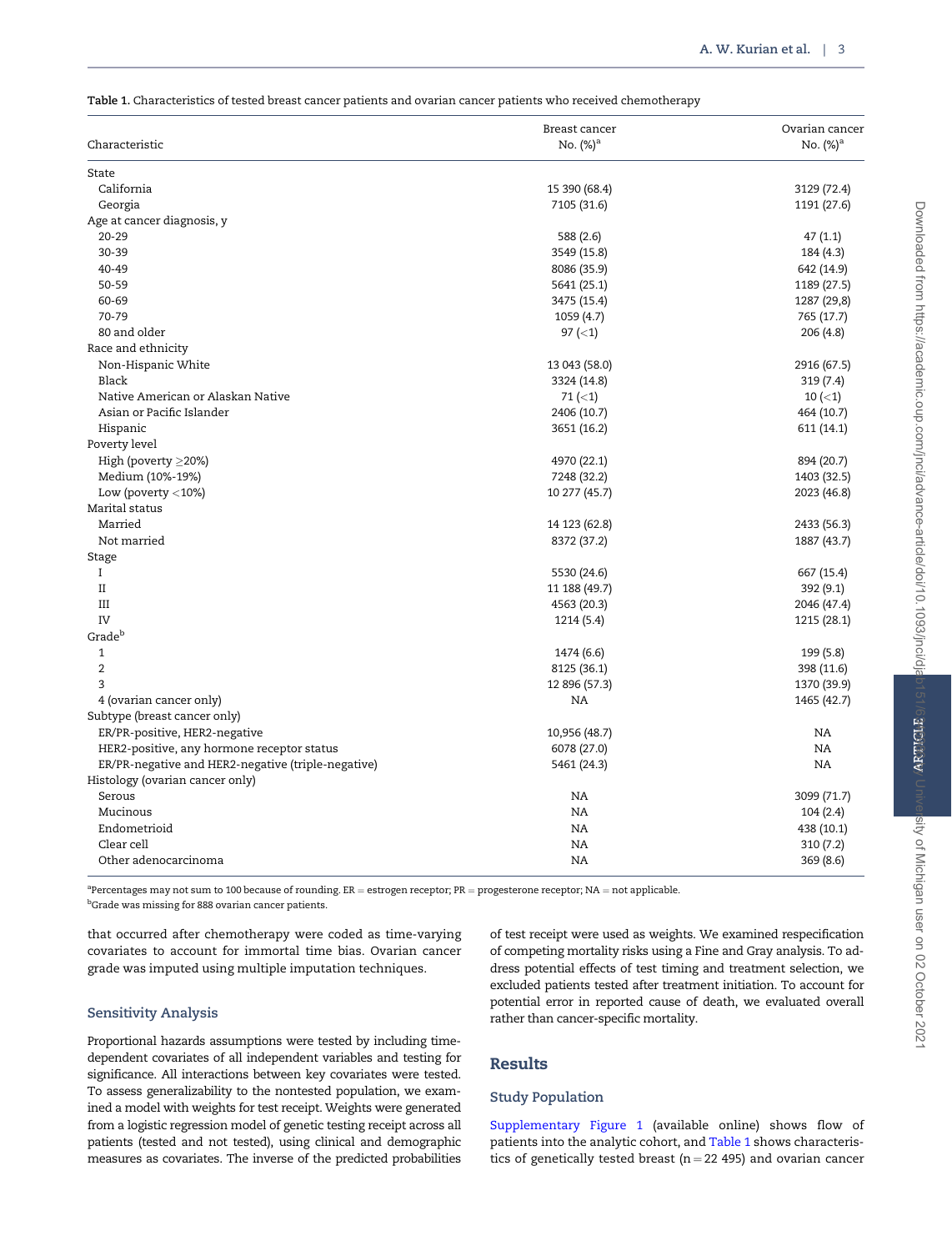<span id="page-2-0"></span>Table 1. Characteristics of tested breast cancer patients and ovarian cancer patients who received chemotherapy

| State<br>California<br>15 390 (68.4)<br>3129 (72.4)<br>Georgia<br>7105 (31.6)<br>1191 (27.6)<br>Age at cancer diagnosis, y<br>$20 - 29$<br>588 (2.6)<br>47(1.1)<br>30-39<br>3549 (15.8)<br>184 (4.3)<br>40-49<br>642 (14.9)<br>8086 (35.9)<br>50-59<br>5641 (25.1)<br>1189 (27.5)<br>60-69<br>3475 (15.4)<br>1287 (29,8)<br>70-79<br>1059 (4.7)<br>765 (17.7)<br>80 and older<br>97 $(<1)$<br>206(4.8)<br>Race and ethnicity<br>Non-Hispanic White<br>13 043 (58.0)<br>2916 (67.5)<br>Black<br>3324 (14.8)<br>319(7.4)<br>Native American or Alaskan Native<br>$71 (\le 1)$<br>$10($ ( $<$ 1)<br>Asian or Pacific Islander<br>2406 (10.7)<br>464 (10.7)<br>Hispanic<br>3651 (16.2)<br>611 (14.1)<br>Poverty level<br>High (poverty $\geq$ 20%)<br>4970 (22.1)<br>894 (20.7)<br>Medium (10%-19%)<br>7248 (32.2)<br>1403 (32.5)<br>Low (poverty $<$ 10%)<br>10 277 (45.7)<br>2023 (46.8)<br>Marital status<br>Married<br>14 123 (62.8)<br>2433 (56.3)<br>Not married<br>8372 (37.2)<br>1887 (43.7)<br>Stage<br>$\mathbf I$<br>5530 (24.6)<br>667 (15.4)<br>$\rm II$<br>11 188 (49.7)<br>392 (9.1)<br>III<br>4563 (20.3)<br>2046 (47.4)<br>IV<br>1214 (5.4)<br>1215 (28.1)<br>Grade <sup>b</sup><br>$\mathbf{1}$<br>199 (5.8)<br>1474 (6.6)<br>$\overline{2}$<br>8125 (36.1)<br>398 (11.6)<br>3<br>12 896 (57.3)<br>1370 (39.9)<br>4 (ovarian cancer only)<br>NA<br>1465 (42.7)<br>Subtype (breast cancer only)<br>ER/PR-positive, HER2-negative<br>10,956 (48.7)<br>NA<br>NA<br>HER2-positive, any hormone receptor status<br>6078 (27.0)<br>ER/PR-negative and HER2-negative (triple-negative)<br>NA<br>5461 (24.3)<br>Histology (ovarian cancer only)<br>Serous<br>NA<br>3099 (71.7)<br>NA<br>Mucinous<br>104 (2.4)<br>Endometrioid<br>NA<br>438 (10.1)<br>Clear cell<br>NA<br>310(7.2) | Characteristic       | Breast cancer<br>No. $(\%)^a$ | Ovarian cancer<br>No. $(\%)^a$ |
|-----------------------------------------------------------------------------------------------------------------------------------------------------------------------------------------------------------------------------------------------------------------------------------------------------------------------------------------------------------------------------------------------------------------------------------------------------------------------------------------------------------------------------------------------------------------------------------------------------------------------------------------------------------------------------------------------------------------------------------------------------------------------------------------------------------------------------------------------------------------------------------------------------------------------------------------------------------------------------------------------------------------------------------------------------------------------------------------------------------------------------------------------------------------------------------------------------------------------------------------------------------------------------------------------------------------------------------------------------------------------------------------------------------------------------------------------------------------------------------------------------------------------------------------------------------------------------------------------------------------------------------------------------------------------------------------------------------------------------------------------------------------------------------------|----------------------|-------------------------------|--------------------------------|
|                                                                                                                                                                                                                                                                                                                                                                                                                                                                                                                                                                                                                                                                                                                                                                                                                                                                                                                                                                                                                                                                                                                                                                                                                                                                                                                                                                                                                                                                                                                                                                                                                                                                                                                                                                                         |                      |                               |                                |
|                                                                                                                                                                                                                                                                                                                                                                                                                                                                                                                                                                                                                                                                                                                                                                                                                                                                                                                                                                                                                                                                                                                                                                                                                                                                                                                                                                                                                                                                                                                                                                                                                                                                                                                                                                                         |                      |                               |                                |
|                                                                                                                                                                                                                                                                                                                                                                                                                                                                                                                                                                                                                                                                                                                                                                                                                                                                                                                                                                                                                                                                                                                                                                                                                                                                                                                                                                                                                                                                                                                                                                                                                                                                                                                                                                                         |                      |                               |                                |
|                                                                                                                                                                                                                                                                                                                                                                                                                                                                                                                                                                                                                                                                                                                                                                                                                                                                                                                                                                                                                                                                                                                                                                                                                                                                                                                                                                                                                                                                                                                                                                                                                                                                                                                                                                                         |                      |                               |                                |
|                                                                                                                                                                                                                                                                                                                                                                                                                                                                                                                                                                                                                                                                                                                                                                                                                                                                                                                                                                                                                                                                                                                                                                                                                                                                                                                                                                                                                                                                                                                                                                                                                                                                                                                                                                                         |                      |                               |                                |
|                                                                                                                                                                                                                                                                                                                                                                                                                                                                                                                                                                                                                                                                                                                                                                                                                                                                                                                                                                                                                                                                                                                                                                                                                                                                                                                                                                                                                                                                                                                                                                                                                                                                                                                                                                                         |                      |                               |                                |
|                                                                                                                                                                                                                                                                                                                                                                                                                                                                                                                                                                                                                                                                                                                                                                                                                                                                                                                                                                                                                                                                                                                                                                                                                                                                                                                                                                                                                                                                                                                                                                                                                                                                                                                                                                                         |                      |                               |                                |
|                                                                                                                                                                                                                                                                                                                                                                                                                                                                                                                                                                                                                                                                                                                                                                                                                                                                                                                                                                                                                                                                                                                                                                                                                                                                                                                                                                                                                                                                                                                                                                                                                                                                                                                                                                                         |                      |                               |                                |
|                                                                                                                                                                                                                                                                                                                                                                                                                                                                                                                                                                                                                                                                                                                                                                                                                                                                                                                                                                                                                                                                                                                                                                                                                                                                                                                                                                                                                                                                                                                                                                                                                                                                                                                                                                                         |                      |                               |                                |
|                                                                                                                                                                                                                                                                                                                                                                                                                                                                                                                                                                                                                                                                                                                                                                                                                                                                                                                                                                                                                                                                                                                                                                                                                                                                                                                                                                                                                                                                                                                                                                                                                                                                                                                                                                                         |                      |                               |                                |
|                                                                                                                                                                                                                                                                                                                                                                                                                                                                                                                                                                                                                                                                                                                                                                                                                                                                                                                                                                                                                                                                                                                                                                                                                                                                                                                                                                                                                                                                                                                                                                                                                                                                                                                                                                                         |                      |                               |                                |
|                                                                                                                                                                                                                                                                                                                                                                                                                                                                                                                                                                                                                                                                                                                                                                                                                                                                                                                                                                                                                                                                                                                                                                                                                                                                                                                                                                                                                                                                                                                                                                                                                                                                                                                                                                                         |                      |                               |                                |
|                                                                                                                                                                                                                                                                                                                                                                                                                                                                                                                                                                                                                                                                                                                                                                                                                                                                                                                                                                                                                                                                                                                                                                                                                                                                                                                                                                                                                                                                                                                                                                                                                                                                                                                                                                                         |                      |                               |                                |
|                                                                                                                                                                                                                                                                                                                                                                                                                                                                                                                                                                                                                                                                                                                                                                                                                                                                                                                                                                                                                                                                                                                                                                                                                                                                                                                                                                                                                                                                                                                                                                                                                                                                                                                                                                                         |                      |                               |                                |
|                                                                                                                                                                                                                                                                                                                                                                                                                                                                                                                                                                                                                                                                                                                                                                                                                                                                                                                                                                                                                                                                                                                                                                                                                                                                                                                                                                                                                                                                                                                                                                                                                                                                                                                                                                                         |                      |                               |                                |
|                                                                                                                                                                                                                                                                                                                                                                                                                                                                                                                                                                                                                                                                                                                                                                                                                                                                                                                                                                                                                                                                                                                                                                                                                                                                                                                                                                                                                                                                                                                                                                                                                                                                                                                                                                                         |                      |                               |                                |
|                                                                                                                                                                                                                                                                                                                                                                                                                                                                                                                                                                                                                                                                                                                                                                                                                                                                                                                                                                                                                                                                                                                                                                                                                                                                                                                                                                                                                                                                                                                                                                                                                                                                                                                                                                                         |                      |                               |                                |
|                                                                                                                                                                                                                                                                                                                                                                                                                                                                                                                                                                                                                                                                                                                                                                                                                                                                                                                                                                                                                                                                                                                                                                                                                                                                                                                                                                                                                                                                                                                                                                                                                                                                                                                                                                                         |                      |                               |                                |
|                                                                                                                                                                                                                                                                                                                                                                                                                                                                                                                                                                                                                                                                                                                                                                                                                                                                                                                                                                                                                                                                                                                                                                                                                                                                                                                                                                                                                                                                                                                                                                                                                                                                                                                                                                                         |                      |                               |                                |
|                                                                                                                                                                                                                                                                                                                                                                                                                                                                                                                                                                                                                                                                                                                                                                                                                                                                                                                                                                                                                                                                                                                                                                                                                                                                                                                                                                                                                                                                                                                                                                                                                                                                                                                                                                                         |                      |                               |                                |
|                                                                                                                                                                                                                                                                                                                                                                                                                                                                                                                                                                                                                                                                                                                                                                                                                                                                                                                                                                                                                                                                                                                                                                                                                                                                                                                                                                                                                                                                                                                                                                                                                                                                                                                                                                                         |                      |                               |                                |
|                                                                                                                                                                                                                                                                                                                                                                                                                                                                                                                                                                                                                                                                                                                                                                                                                                                                                                                                                                                                                                                                                                                                                                                                                                                                                                                                                                                                                                                                                                                                                                                                                                                                                                                                                                                         |                      |                               |                                |
|                                                                                                                                                                                                                                                                                                                                                                                                                                                                                                                                                                                                                                                                                                                                                                                                                                                                                                                                                                                                                                                                                                                                                                                                                                                                                                                                                                                                                                                                                                                                                                                                                                                                                                                                                                                         |                      |                               |                                |
|                                                                                                                                                                                                                                                                                                                                                                                                                                                                                                                                                                                                                                                                                                                                                                                                                                                                                                                                                                                                                                                                                                                                                                                                                                                                                                                                                                                                                                                                                                                                                                                                                                                                                                                                                                                         |                      |                               |                                |
|                                                                                                                                                                                                                                                                                                                                                                                                                                                                                                                                                                                                                                                                                                                                                                                                                                                                                                                                                                                                                                                                                                                                                                                                                                                                                                                                                                                                                                                                                                                                                                                                                                                                                                                                                                                         |                      |                               |                                |
|                                                                                                                                                                                                                                                                                                                                                                                                                                                                                                                                                                                                                                                                                                                                                                                                                                                                                                                                                                                                                                                                                                                                                                                                                                                                                                                                                                                                                                                                                                                                                                                                                                                                                                                                                                                         |                      |                               |                                |
|                                                                                                                                                                                                                                                                                                                                                                                                                                                                                                                                                                                                                                                                                                                                                                                                                                                                                                                                                                                                                                                                                                                                                                                                                                                                                                                                                                                                                                                                                                                                                                                                                                                                                                                                                                                         |                      |                               |                                |
|                                                                                                                                                                                                                                                                                                                                                                                                                                                                                                                                                                                                                                                                                                                                                                                                                                                                                                                                                                                                                                                                                                                                                                                                                                                                                                                                                                                                                                                                                                                                                                                                                                                                                                                                                                                         |                      |                               |                                |
|                                                                                                                                                                                                                                                                                                                                                                                                                                                                                                                                                                                                                                                                                                                                                                                                                                                                                                                                                                                                                                                                                                                                                                                                                                                                                                                                                                                                                                                                                                                                                                                                                                                                                                                                                                                         |                      |                               |                                |
|                                                                                                                                                                                                                                                                                                                                                                                                                                                                                                                                                                                                                                                                                                                                                                                                                                                                                                                                                                                                                                                                                                                                                                                                                                                                                                                                                                                                                                                                                                                                                                                                                                                                                                                                                                                         |                      |                               |                                |
|                                                                                                                                                                                                                                                                                                                                                                                                                                                                                                                                                                                                                                                                                                                                                                                                                                                                                                                                                                                                                                                                                                                                                                                                                                                                                                                                                                                                                                                                                                                                                                                                                                                                                                                                                                                         |                      |                               |                                |
|                                                                                                                                                                                                                                                                                                                                                                                                                                                                                                                                                                                                                                                                                                                                                                                                                                                                                                                                                                                                                                                                                                                                                                                                                                                                                                                                                                                                                                                                                                                                                                                                                                                                                                                                                                                         |                      |                               |                                |
|                                                                                                                                                                                                                                                                                                                                                                                                                                                                                                                                                                                                                                                                                                                                                                                                                                                                                                                                                                                                                                                                                                                                                                                                                                                                                                                                                                                                                                                                                                                                                                                                                                                                                                                                                                                         |                      |                               |                                |
|                                                                                                                                                                                                                                                                                                                                                                                                                                                                                                                                                                                                                                                                                                                                                                                                                                                                                                                                                                                                                                                                                                                                                                                                                                                                                                                                                                                                                                                                                                                                                                                                                                                                                                                                                                                         |                      |                               |                                |
|                                                                                                                                                                                                                                                                                                                                                                                                                                                                                                                                                                                                                                                                                                                                                                                                                                                                                                                                                                                                                                                                                                                                                                                                                                                                                                                                                                                                                                                                                                                                                                                                                                                                                                                                                                                         |                      |                               |                                |
|                                                                                                                                                                                                                                                                                                                                                                                                                                                                                                                                                                                                                                                                                                                                                                                                                                                                                                                                                                                                                                                                                                                                                                                                                                                                                                                                                                                                                                                                                                                                                                                                                                                                                                                                                                                         |                      |                               |                                |
|                                                                                                                                                                                                                                                                                                                                                                                                                                                                                                                                                                                                                                                                                                                                                                                                                                                                                                                                                                                                                                                                                                                                                                                                                                                                                                                                                                                                                                                                                                                                                                                                                                                                                                                                                                                         |                      |                               |                                |
|                                                                                                                                                                                                                                                                                                                                                                                                                                                                                                                                                                                                                                                                                                                                                                                                                                                                                                                                                                                                                                                                                                                                                                                                                                                                                                                                                                                                                                                                                                                                                                                                                                                                                                                                                                                         |                      |                               |                                |
|                                                                                                                                                                                                                                                                                                                                                                                                                                                                                                                                                                                                                                                                                                                                                                                                                                                                                                                                                                                                                                                                                                                                                                                                                                                                                                                                                                                                                                                                                                                                                                                                                                                                                                                                                                                         |                      |                               |                                |
|                                                                                                                                                                                                                                                                                                                                                                                                                                                                                                                                                                                                                                                                                                                                                                                                                                                                                                                                                                                                                                                                                                                                                                                                                                                                                                                                                                                                                                                                                                                                                                                                                                                                                                                                                                                         |                      |                               |                                |
|                                                                                                                                                                                                                                                                                                                                                                                                                                                                                                                                                                                                                                                                                                                                                                                                                                                                                                                                                                                                                                                                                                                                                                                                                                                                                                                                                                                                                                                                                                                                                                                                                                                                                                                                                                                         |                      |                               |                                |
|                                                                                                                                                                                                                                                                                                                                                                                                                                                                                                                                                                                                                                                                                                                                                                                                                                                                                                                                                                                                                                                                                                                                                                                                                                                                                                                                                                                                                                                                                                                                                                                                                                                                                                                                                                                         |                      |                               |                                |
|                                                                                                                                                                                                                                                                                                                                                                                                                                                                                                                                                                                                                                                                                                                                                                                                                                                                                                                                                                                                                                                                                                                                                                                                                                                                                                                                                                                                                                                                                                                                                                                                                                                                                                                                                                                         |                      |                               |                                |
|                                                                                                                                                                                                                                                                                                                                                                                                                                                                                                                                                                                                                                                                                                                                                                                                                                                                                                                                                                                                                                                                                                                                                                                                                                                                                                                                                                                                                                                                                                                                                                                                                                                                                                                                                                                         | Other adenocarcinoma | NA                            | 369 (8.6)                      |

 ${}^{a}$ Percentages may not sum to 100 because of rounding. ER = estrogen receptor; PR = progesterone receptor; NA = not applicable. b Grade was missing for 888 ovarian cancer patients.

that occurred after chemotherapy were coded as time-varying covariates to account for immortal time bias. Ovarian cancer grade was imputed using multiple imputation techniques.

## Sensitivity Analysis

Proportional hazards assumptions were tested by including timedependent covariates of all independent variables and testing for significance. All interactions between key covariates were tested. To assess generalizability to the nontested population, we examined a model with weights for test receipt. Weights were generated from a logistic regression model of genetic testing receipt across all patients (tested and not tested), using clinical and demographic measures as covariates. The inverse of the predicted probabilities

of test receipt were used as weights. We examined respecification of competing mortality risks using a Fine and Gray analysis. To address potential effects of test timing and treatment selection, we excluded patients tested after treatment initiation. To account for potential error in reported cause of death, we evaluated overall rather than cancer-specific mortality.

## Results

## Study Population

[Supplementary Figure 1](https://academic.oup.com/jnci/article-lookup/doi/10.1093/jnci/djab151#supplementary-data) (available online) shows flow of patients into the analytic cohort, and Table 1 shows characteristics of genetically tested breast ( $n = 22$  495) and ovarian cancer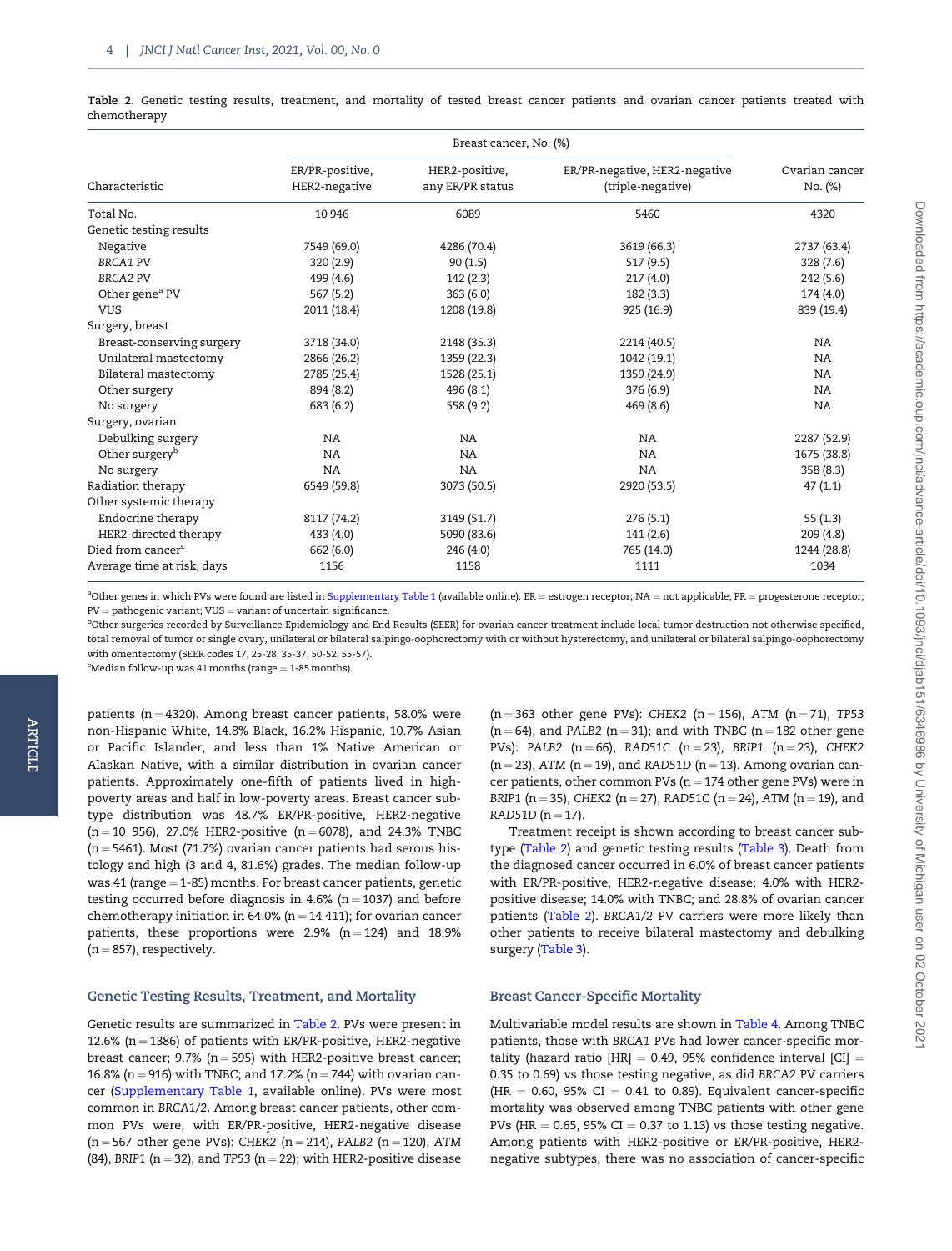<span id="page-3-0"></span>Table 2. Genetic testing results, treatment, and mortality of tested breast cancer patients and ovarian cancer patients treated with chemotherapy

| Characteristic                | ER/PR-positive,<br>HER2-negative | HER2-positive,<br>any ER/PR status | ER/PR-negative, HER2-negative<br>(triple-negative) | Ovarian cancer<br>No. (%) |
|-------------------------------|----------------------------------|------------------------------------|----------------------------------------------------|---------------------------|
| Total No.                     | 10 946                           | 6089                               | 5460                                               | 4320                      |
| Genetic testing results       |                                  |                                    |                                                    |                           |
| Negative                      | 7549 (69.0)                      | 4286 (70.4)                        | 3619 (66.3)                                        | 2737 (63.4)               |
| <b>BRCA1 PV</b>               | 320(2.9)                         | 90(1.5)                            | 517 (9.5)                                          | 328(7.6)                  |
| <b>BRCA2 PV</b>               | 499 (4.6)                        | 142 (2.3)                          | 217(4.0)                                           | 242 (5.6)                 |
| Other gene <sup>a</sup> PV    | 567 (5.2)                        | 363(6.0)                           | 182 (3.3)                                          | 174(4.0)                  |
| <b>VUS</b>                    | 2011 (18.4)                      | 1208 (19.8)                        | 925 (16.9)                                         | 839 (19.4)                |
| Surgery, breast               |                                  |                                    |                                                    |                           |
| Breast-conserving surgery     | 3718 (34.0)                      | 2148 (35.3)                        | 2214 (40.5)                                        | NA.                       |
| Unilateral mastectomy         | 2866 (26.2)                      | 1359 (22.3)                        | 1042 (19.1)                                        | NA.                       |
| Bilateral mastectomy          | 2785 (25.4)                      | 1528 (25.1)                        | 1359 (24.9)                                        | NA.                       |
| Other surgery                 | 894 (8.2)                        | 496 (8.1)                          | 376 (6.9)                                          | NA.                       |
| No surgery                    | 683 (6.2)                        | 558 (9.2)                          | 469 (8.6)                                          | NA.                       |
| Surgery, ovarian              |                                  |                                    |                                                    |                           |
| Debulking surgery             | NA                               | <b>NA</b>                          | NA                                                 | 2287 (52.9)               |
| Other surgery <sup>b</sup>    | <b>NA</b>                        | NA                                 | NA                                                 | 1675 (38.8)               |
| No surgery                    | <b>NA</b>                        | <b>NA</b>                          | <b>NA</b>                                          | 358(8.3)                  |
| Radiation therapy             | 6549 (59.8)                      | 3073 (50.5)                        | 2920 (53.5)                                        | 47(1.1)                   |
| Other systemic therapy        |                                  |                                    |                                                    |                           |
| Endocrine therapy             | 8117 (74.2)                      | 3149 (51.7)                        | 276(5.1)                                           | 55(1.3)                   |
| HER2-directed therapy         | 433 (4.0)                        | 5090 (83.6)                        | 141(2.6)                                           | 209(4.8)                  |
| Died from cancer <sup>c</sup> | 662 (6.0)                        | 246 (4.0)                          | 765 (14.0)                                         | 1244 (28.8)               |
| Average time at risk, days    | 1156                             | 1158                               | 1111                                               | 1034                      |

 $^a$ Other genes in which PVs were found are listed in [Supplementary Table 1](https://academic.oup.com/jnci/article-lookup/doi/10.1093/jnci/djab151#supplementary-data) (available online). ER = estrogen receptor; NA = not applicable; PR = progesterone receptor;  $PV =$  pathogenic variant;  $VUS =$  variant of uncertain significance.

 $^{\rm b}$ Other surgeries recorded by Surveillance Epidemiology and End Results (SEER) for ovarian cancer treatment include local tumor destruction not otherwise specified, total removal of tumor or single ovary, unilateral or bilateral salpingo-oophorectomy with or without hysterectomy, and unilateral or bilateral salpingo-oophorectomy with omentectomy (SEER codes 17, 25-28, 35-37, 50-52, 55-57).

 $c$ Median follow-up was 41 months (range  $= 1-85$  months).

patients ( $n = 4320$ ). Among breast cancer patients, 58.0% were non-Hispanic White, 14.8% Black, 16.2% Hispanic, 10.7% Asian or Pacific Islander, and less than 1% Native American or Alaskan Native, with a similar distribution in ovarian cancer patients. Approximately one-fifth of patients lived in highpoverty areas and half in low-poverty areas. Breast cancer subtype distribution was 48.7% ER/PR-positive, HER2-negative  $(n = 10 956)$ , 27.0% HER2-positive  $(n = 6078)$ , and 24.3% TNBC  $(n = 5461)$ . Most (71.7%) ovarian cancer patients had serous histology and high (3 and 4, 81.6%) grades. The median follow-up was 41 (range  $=$  1-85) months. For breast cancer patients, genetic testing occurred before diagnosis in 4.6% ( $n = 1037$ ) and before chemotherapy initiation in 64.0% ( $n = 14 411$ ); for ovarian cancer patients, these proportions were 2.9%  $(n = 124)$  and 18.9%  $(n = 857)$ , respectively.

#### Genetic Testing Results, Treatment, and Mortality

Genetic results are summarized in Table 2. PVs were present in 12.6% ( $n = 1386$ ) of patients with ER/PR-positive, HER2-negative breast cancer; 9.7% ( $n = 595$ ) with HER2-positive breast cancer; 16.8% (n = 916) with TNBC; and 17.2% (n = 744) with ovarian cancer [\(Supplementary Table 1](https://academic.oup.com/jnci/article-lookup/doi/10.1093/jnci/djab151#supplementary-data), available online). PVs were most common in BRCA1/2. Among breast cancer patients, other common PVs were, with ER/PR-positive, HER2-negative disease  $(n = 567$  other gene PVs): CHEK2  $(n = 214)$ , PALB2  $(n = 120)$ , ATM (84), BRIP1 ( $n = 32$ ), and TP53 ( $n = 22$ ); with HER2-positive disease

 $(n = 363$  other gene PVs): CHEK2  $(n = 156)$ , ATM  $(n = 71)$ , TP53  $(n = 64)$ , and PALB2 (n = 31); and with TNBC (n = 182 other gene PVs): PALB2 (n = 66), RAD51C (n = 23), BRIP1 (n = 23), CHEK2  $(n = 23)$ , ATM  $(n = 19)$ , and RAD51D  $(n = 13)$ . Among ovarian cancer patients, other common PVs ( $n = 174$  other gene PVs) were in BRIP1 (n = 35), CHEK2 (n = 27), RAD51C (n = 24), ATM (n = 19), and RAD51D  $(n = 17)$ .

Treatment receipt is shown according to breast cancer subtype (Table 2) and genetic testing results ([Table 3\)](#page-4-0). Death from the diagnosed cancer occurred in 6.0% of breast cancer patients with ER/PR-positive, HER2-negative disease; 4.0% with HER2 positive disease; 14.0% with TNBC; and 28.8% of ovarian cancer patients (Table 2). BRCA1/2 PV carriers were more likely than other patients to receive bilateral mastectomy and debulking surgery [\(Table 3](#page-4-0)).

#### Breast Cancer-Specific Mortality

Multivariable model results are shown in [Table 4.](#page-5-0) Among TNBC patients, those with BRCA1 PVs had lower cancer-specific mortality (hazard ratio  $[HR] = 0.49$ , 95% confidence interval  $[CI] =$ 0.35 to 0.69) vs those testing negative, as did BRCA2 PV carriers (HR = 0.60, 95% CI = 0.41 to 0.89). Equivalent cancer-specific mortality was observed among TNBC patients with other gene PVs (HR  $= 0.65$ , 95% CI  $= 0.37$  to 1.13) vs those testing negative. Among patients with HER2-positive or ER/PR-positive, HER2 negative subtypes, there was no association of cancer-specific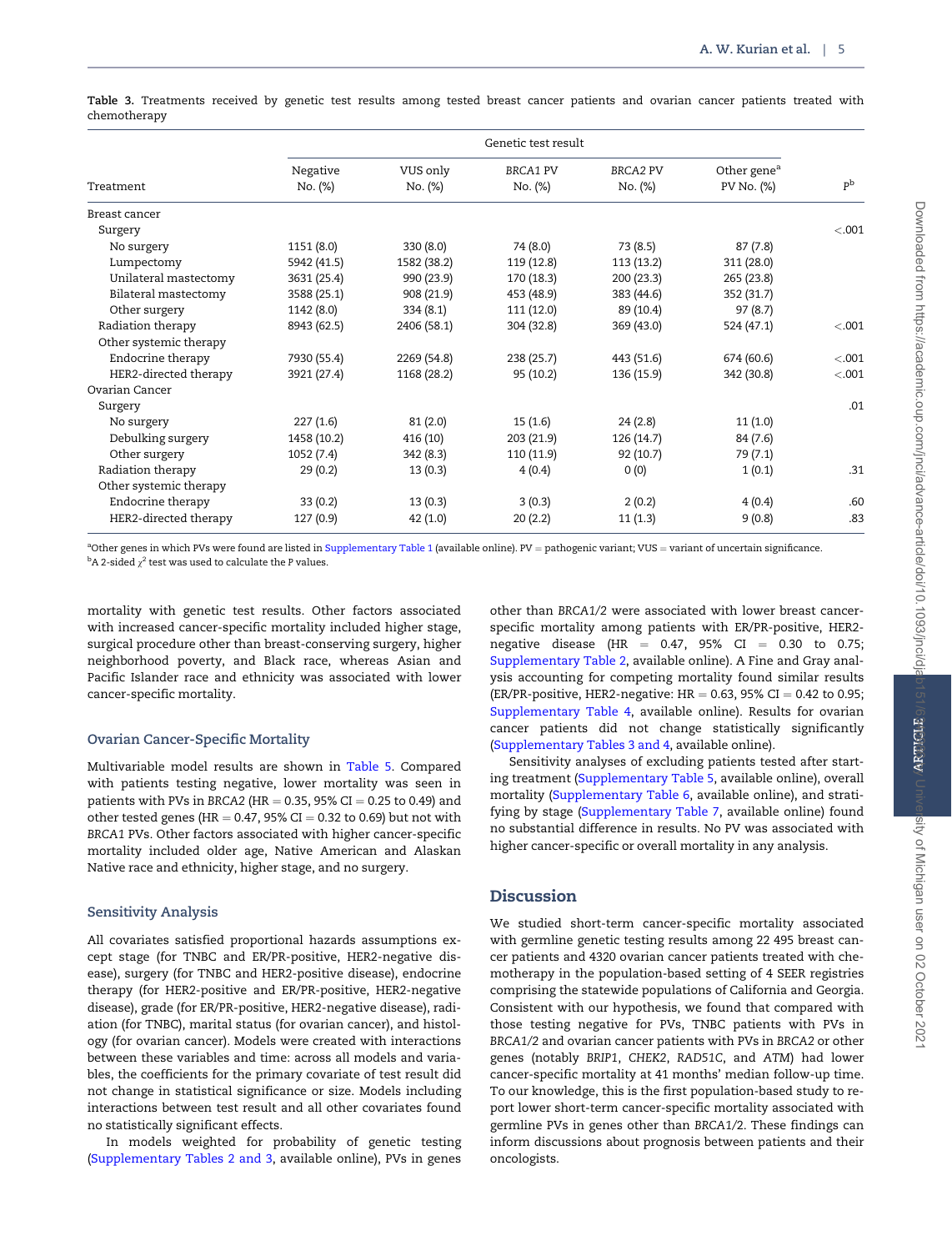<span id="page-4-0"></span>Table 3. Treatments received by genetic test results among tested breast cancer patients and ovarian cancer patients treated with chemotherapy

|                        | Genetic test result |                     |                            |                            |                                       |                |
|------------------------|---------------------|---------------------|----------------------------|----------------------------|---------------------------------------|----------------|
| Treatment              | Negative<br>No. (%) | VUS only<br>No. (%) | <b>BRCA1 PV</b><br>No. (%) | <b>BRCA2 PV</b><br>No. (%) | Other gene <sup>a</sup><br>PV No. (%) | p <sub>b</sub> |
| Breast cancer          |                     |                     |                            |                            |                                       |                |
| Surgery                |                     |                     |                            |                            |                                       | $-.001$        |
| No surgery             | 1151 (8.0)          | 330(8.0)            | 74 (8.0)                   | 73 (8.5)                   | 87(7.8)                               |                |
| Lumpectomy             | 5942 (41.5)         | 1582 (38.2)         | 119 (12.8)                 | 113 (13.2)                 | 311 (28.0)                            |                |
| Unilateral mastectomy  | 3631 (25.4)         | 990 (23.9)          | 170 (18.3)                 | 200 (23.3)                 | 265 (23.8)                            |                |
| Bilateral mastectomy   | 3588 (25.1)         | 908 (21.9)          | 453 (48.9)                 | 383 (44.6)                 | 352 (31.7)                            |                |
| Other surgery          | 1142 (8.0)          | 334(8.1)            | 111 (12.0)                 | 89 (10.4)                  | 97(8.7)                               |                |
| Radiation therapy      | 8943 (62.5)         | 2406 (58.1)         | 304 (32.8)                 | 369 (43.0)                 | 524 (47.1)                            | < .001         |
| Other systemic therapy |                     |                     |                            |                            |                                       |                |
| Endocrine therapy      | 7930 (55.4)         | 2269 (54.8)         | 238(25.7)                  | 443 (51.6)                 | 674 (60.6)                            | < .001         |
| HER2-directed therapy  | 3921 (27.4)         | 1168 (28.2)         | 95 (10.2)                  | 136 (15.9)                 | 342 (30.8)                            | < 0.001        |
| Ovarian Cancer         |                     |                     |                            |                            |                                       |                |
| Surgery                |                     |                     |                            |                            |                                       | .01            |
| No surgery             | 227(1.6)            | 81(2.0)             | 15(1.6)                    | 24(2.8)                    | 11(1.0)                               |                |
| Debulking surgery      | 1458 (10.2)         | 416 (10)            | 203 (21.9)                 | 126(14.7)                  | 84 (7.6)                              |                |
| Other surgery          | 1052 (7.4)          | 342(8.3)            | 110 (11.9)                 | 92 (10.7)                  | 79 (7.1)                              |                |
| Radiation therapy      | 29(0.2)             | 13(0.3)             | 4(0.4)                     | 0(0)                       | 1(0.1)                                | .31            |
| Other systemic therapy |                     |                     |                            |                            |                                       |                |
| Endocrine therapy      | 33(0.2)             | 13(0.3)             | 3(0.3)                     | 2(0.2)                     | 4(0.4)                                | .60            |
| HER2-directed therapy  | 127 (0.9)           | 42(1.0)             | 20(2.2)                    | 11(1.3)                    | 9(0.8)                                | .83            |

<sup>a</sup>Other genes in which PVs were found are listed in [Supplementary Table 1](https://academic.oup.com/jnci/article-lookup/doi/10.1093/jnci/djab151#supplementary-data) (available online). PV = pathogenic variant; VUS = variant of uncertain significance.  $\rm ^b$ A 2-sided  $\rm \chi^2$  test was used to calculate the P values.

mortality with genetic test results. Other factors associated with increased cancer-specific mortality included higher stage, surgical procedure other than breast-conserving surgery, higher neighborhood poverty, and Black race, whereas Asian and Pacific Islander race and ethnicity was associated with lower cancer-specific mortality.

## Ovarian Cancer-Specific Mortality

Multivariable model results are shown in [Table 5.](#page-6-0) Compared with patients testing negative, lower mortality was seen in patients with PVs in BRCA2 (HR = 0.35, 95% CI = 0.25 to 0.49) and other tested genes (HR =  $0.47$ , 95% CI =  $0.32$  to 0.69) but not with BRCA1 PVs. Other factors associated with higher cancer-specific mortality included older age, Native American and Alaskan Native race and ethnicity, higher stage, and no surgery.

#### Sensitivity Analysis

All covariates satisfied proportional hazards assumptions except stage (for TNBC and ER/PR-positive, HER2-negative disease), surgery (for TNBC and HER2-positive disease), endocrine therapy (for HER2-positive and ER/PR-positive, HER2-negative disease), grade (for ER/PR-positive, HER2-negative disease), radiation (for TNBC), marital status (for ovarian cancer), and histology (for ovarian cancer). Models were created with interactions between these variables and time: across all models and variables, the coefficients for the primary covariate of test result did not change in statistical significance or size. Models including interactions between test result and all other covariates found no statistically significant effects.

In models weighted for probability of genetic testing ([Supplementary Tables 2 and 3](https://academic.oup.com/jnci/article-lookup/doi/10.1093/jnci/djab151#supplementary-data), available online), PVs in genes

other than BRCA1/2 were associated with lower breast cancerspecific mortality among patients with ER/PR-positive, HER2 negative disease (HR =  $0.47$ , 95% CI = 0.30 to 0.75; [Supplementary Table 2,](https://academic.oup.com/jnci/article-lookup/doi/10.1093/jnci/djab151#supplementary-data) available online). A Fine and Gray analysis accounting for competing mortality found similar results (ER/PR-positive, HER2-negative:  $HR = 0.63$ , 95% CI = 0.42 to 0.95; [Supplementary Table 4,](https://academic.oup.com/jnci/article-lookup/doi/10.1093/jnci/djab151#supplementary-data) available online). Results for ovarian cancer patients did not change statistically significantly ([Supplementary Tables 3 and 4](https://academic.oup.com/jnci/article-lookup/doi/10.1093/jnci/djab151#supplementary-data), available online).

Sensitivity analyses of excluding patients tested after starting treatment ([Supplementary Table 5,](https://academic.oup.com/jnci/article-lookup/doi/10.1093/jnci/djab151#supplementary-data) available online), overall mortality ([Supplementary Table 6,](https://academic.oup.com/jnci/article-lookup/doi/10.1093/jnci/djab151#supplementary-data) available online), and stratifying by stage ([Supplementary Table 7](https://academic.oup.com/jnci/article-lookup/doi/10.1093/jnci/djab151#supplementary-data), available online) found no substantial difference in results. No PV was associated with higher cancer-specific or overall mortality in any analysis.

## Discussion

We studied short-term cancer-specific mortality associated with germline genetic testing results among 22 495 breast cancer patients and 4320 ovarian cancer patients treated with chemotherapy in the population-based setting of 4 SEER registries comprising the statewide populations of California and Georgia. Consistent with our hypothesis, we found that compared with those testing negative for PVs, TNBC patients with PVs in BRCA1/2 and ovarian cancer patients with PVs in BRCA2 or other genes (notably BRIP1, CHEK2, RAD51C, and ATM) had lower cancer-specific mortality at 41 months' median follow-up time. To our knowledge, this is the first population-based study to report lower short-term cancer-specific mortality associated with germline PVs in genes other than BRCA1/2. These findings can inform discussions about prognosis between patients and their oncologists.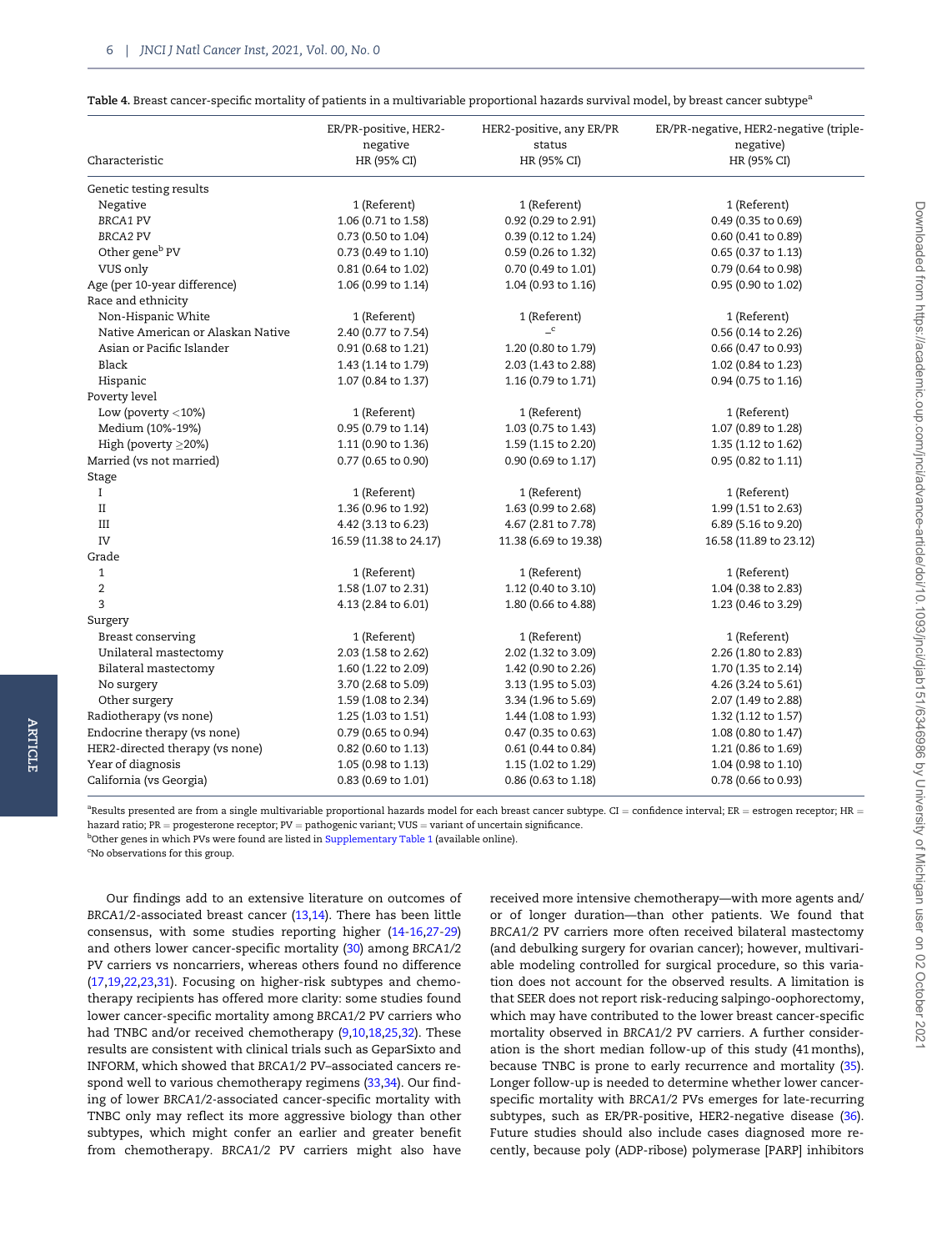<span id="page-5-0"></span>

|  |  | <b>Table 4.</b> Breast cancer-specific mortality of patients in a multivariable proportional hazards survival model, by breast cancer subtype $^{\text{\tiny a}}$ |  |  |
|--|--|-------------------------------------------------------------------------------------------------------------------------------------------------------------------|--|--|
|--|--|-------------------------------------------------------------------------------------------------------------------------------------------------------------------|--|--|

| Characteristic                    | ER/PR-positive, HER2-<br>negative<br>HR (95% CI) | HER2-positive, any ER/PR<br>status<br>HR (95% CI) | ER/PR-negative, HER2-negative (triple-<br>negative)<br>HR (95% CI) |
|-----------------------------------|--------------------------------------------------|---------------------------------------------------|--------------------------------------------------------------------|
|                                   |                                                  |                                                   |                                                                    |
| Genetic testing results           |                                                  |                                                   |                                                                    |
| Negative                          | 1 (Referent)                                     | 1 (Referent)                                      | 1 (Referent)                                                       |
| <b>BRCA1 PV</b>                   | 1.06 (0.71 to 1.58)                              | 0.92 (0.29 to 2.91)                               | 0.49 (0.35 to 0.69)                                                |
| <b>BRCA2 PV</b>                   | 0.73 (0.50 to 1.04)                              | 0.39 (0.12 to 1.24)                               | 0.60 (0.41 to 0.89)                                                |
| Other gene <sup>b</sup> PV        | 0.73 (0.49 to 1.10)                              | 0.59 (0.26 to 1.32)                               | 0.65 (0.37 to 1.13)                                                |
| VUS only                          | 0.81 (0.64 to 1.02)                              | 0.70 (0.49 to 1.01)                               | 0.79 (0.64 to 0.98)                                                |
| Age (per 10-year difference)      | 1.06 (0.99 to 1.14)                              | 1.04 (0.93 to 1.16)                               | 0.95 (0.90 to 1.02)                                                |
| Race and ethnicity                |                                                  |                                                   |                                                                    |
| Non-Hispanic White                | 1 (Referent)                                     | 1 (Referent)                                      | 1 (Referent)                                                       |
| Native American or Alaskan Native | 2.40 (0.77 to 7.54)                              | $\mathbf{C}$                                      | 0.56 (0.14 to 2.26)                                                |
| Asian or Pacific Islander         | 0.91 (0.68 to 1.21)                              | 1.20 (0.80 to 1.79)                               | 0.66 (0.47 to 0.93)                                                |
| Black                             | 1.43 (1.14 to 1.79)                              | 2.03 (1.43 to 2.88)                               | 1.02 (0.84 to 1.23)                                                |
| Hispanic                          | 1.07 (0.84 to 1.37)                              | 1.16 (0.79 to 1.71)                               | 0.94 (0.75 to 1.16)                                                |
| Poverty level                     |                                                  |                                                   |                                                                    |
| Low (poverty $<$ 10%)             | 1 (Referent)                                     | 1 (Referent)                                      | 1 (Referent)                                                       |
| Medium (10%-19%)                  | 0.95 (0.79 to 1.14)                              | 1.03 (0.75 to 1.43)                               | 1.07 (0.89 to 1.28)                                                |
| High (poverty $\geq$ 20%)         | 1.11 (0.90 to 1.36)                              | 1.59 (1.15 to 2.20)                               | 1.35 (1.12 to 1.62)                                                |
| Married (vs not married)          | 0.77 (0.65 to 0.90)                              | 0.90 (0.69 to 1.17)                               | 0.95 (0.82 to 1.11)                                                |
| Stage                             |                                                  |                                                   |                                                                    |
| $\bf{I}$                          | 1 (Referent)                                     | 1 (Referent)                                      | 1 (Referent)                                                       |
| $_{\rm II}$                       | 1.36 (0.96 to 1.92)                              | 1.63 (0.99 to 2.68)                               | 1.99 (1.51 to 2.63)                                                |
| III                               | 4.42 (3.13 to 6.23)                              | 4.67 (2.81 to 7.78)                               | 6.89 (5.16 to 9.20)                                                |
| IV                                | 16.59 (11.38 to 24.17)                           | 11.38 (6.69 to 19.38)                             | 16.58 (11.89 to 23.12)                                             |
| Grade                             |                                                  |                                                   |                                                                    |
| $\mathbf{1}$                      | 1 (Referent)                                     | 1 (Referent)                                      | 1 (Referent)                                                       |
| $\overline{2}$                    | 1.58 (1.07 to 2.31)                              | 1.12 (0.40 to 3.10)                               | 1.04 (0.38 to 2.83)                                                |
| 3                                 | 4.13 (2.84 to 6.01)                              | 1.80 (0.66 to 4.88)                               | 1.23 (0.46 to 3.29)                                                |
| Surgery                           |                                                  |                                                   |                                                                    |
| Breast conserving                 | 1 (Referent)                                     | 1 (Referent)                                      | 1 (Referent)                                                       |
| Unilateral mastectomy             | 2.03 (1.58 to 2.62)                              | 2.02 (1.32 to 3.09)                               | 2.26 (1.80 to 2.83)                                                |
| Bilateral mastectomy              | 1.60 (1.22 to 2.09)                              | 1.42 (0.90 to 2.26)                               | 1.70 (1.35 to 2.14)                                                |
| No surgery                        | 3.70 (2.68 to 5.09)                              | 3.13 (1.95 to 5.03)                               | 4.26 (3.24 to 5.61)                                                |
| Other surgery                     | 1.59 (1.08 to 2.34)                              | 3.34 (1.96 to 5.69)                               | 2.07 (1.49 to 2.88)                                                |
| Radiotherapy (vs none)            | 1.25 (1.03 to 1.51)                              | 1.44 (1.08 to 1.93)                               | 1.32 (1.12 to 1.57)                                                |
| Endocrine therapy (vs none)       | 0.79 (0.65 to 0.94)                              | 0.47 (0.35 to 0.63)                               | 1.08 (0.80 to 1.47)                                                |
| HER2-directed therapy (vs none)   | 0.82 (0.60 to 1.13)                              | 0.61 (0.44 to 0.84)                               | 1.21 (0.86 to 1.69)                                                |
| Year of diagnosis                 | 1.05 (0.98 to 1.13)                              | 1.15 (1.02 to 1.29)                               | 1.04 (0.98 to 1.10)                                                |
| California (vs Georgia)           | 0.83 (0.69 to 1.01)                              | 0.86 (0.63 to 1.18)                               | 0.78 (0.66 to 0.93)                                                |

 $^{\rm a}$ Results presented are from a single multivariable proportional hazards model for each breast cancer subtype. CI  $=$  confidence interval; ER  $=$  estrogen receptor; HR  $=$ hazard ratio;  $PR =$  progesterone receptor;  $PV =$  pathogenic variant; VUS = variant of uncertain significance. <sup>b</sup>Other genes in which PVs were found are listed in [Supplementary Table 1](https://academic.oup.com/jnci/article-lookup/doi/10.1093/jnci/djab151#supplementary-data) (available online).

<sup>c</sup>No observations for this group.

Our findings add to an extensive literature on outcomes of BRCA1/2-associated breast cancer ([13,14](#page-7-0)). There has been little consensus, with some studies reporting higher ([14-16,](#page-7-0)[27-29](#page-8-0)) and others lower cancer-specific mortality ([30](#page-8-0)) among BRCA1/2 PV carriers vs noncarriers, whereas others found no difference ([17,19,22,23](#page-7-0)[,31\)](#page-8-0). Focusing on higher-risk subtypes and chemotherapy recipients has offered more clarity: some studies found lower cancer-specific mortality among BRCA1/2 PV carriers who had TNBC and/or received chemotherapy ([9,10](#page-7-0),[18,](#page-7-0)[25,32](#page-8-0)). These results are consistent with clinical trials such as GeparSixto and INFORM, which showed that BRCA1/2 PV–associated cancers respond well to various chemotherapy regimens ([33,34](#page-8-0)). Our finding of lower BRCA1/2-associated cancer-specific mortality with TNBC only may reflect its more aggressive biology than other subtypes, which might confer an earlier and greater benefit from chemotherapy. BRCA1/2 PV carriers might also have

received more intensive chemotherapy—with more agents and/ or of longer duration—than other patients. We found that BRCA1/2 PV carriers more often received bilateral mastectomy (and debulking surgery for ovarian cancer); however, multivariable modeling controlled for surgical procedure, so this variation does not account for the observed results. A limitation is that SEER does not report risk-reducing salpingo-oophorectomy, which may have contributed to the lower breast cancer-specific mortality observed in BRCA1/2 PV carriers. A further consideration is the short median follow-up of this study (41 months), because TNBC is prone to early recurrence and mortality ([35](#page-8-0)). Longer follow-up is needed to determine whether lower cancerspecific mortality with BRCA1/2 PVs emerges for late-recurring subtypes, such as ER/PR-positive, HER2-negative disease ([36](#page-8-0)). Future studies should also include cases diagnosed more recently, because poly (ADP-ribose) polymerase [PARP] inhibitors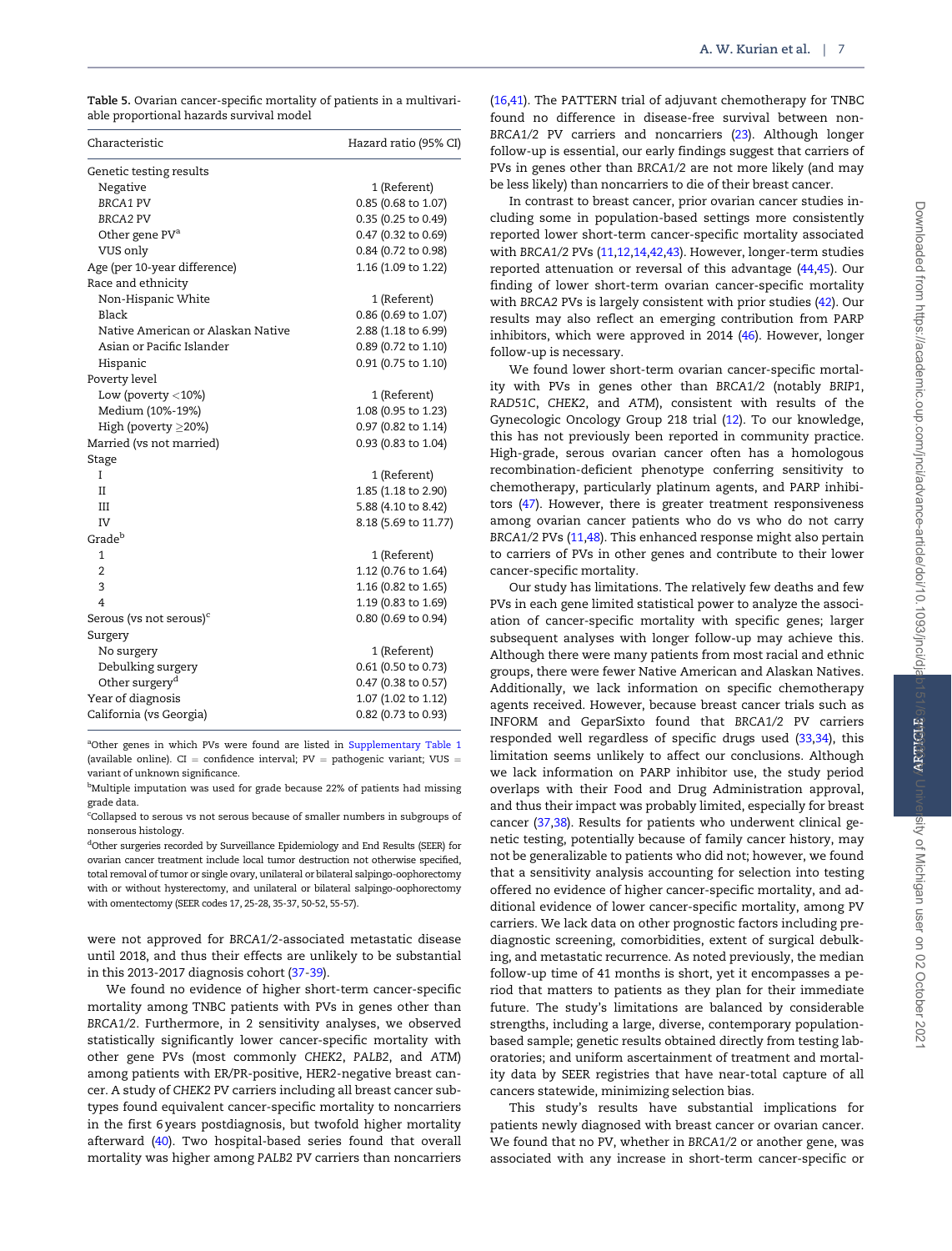<span id="page-6-0"></span>

| Characteristic                      | Hazard ratio (95% CI) |
|-------------------------------------|-----------------------|
| Genetic testing results             |                       |
| Negative                            | 1 (Referent)          |
| <b>BRCA1 PV</b>                     | 0.85 (0.68 to 1.07)   |
| <b>BRCA2 PV</b>                     | 0.35 (0.25 to 0.49)   |
| Other gene PV <sup>a</sup>          | 0.47 (0.32 to 0.69)   |
| VUS only                            | 0.84 (0.72 to 0.98)   |
| Age (per 10-year difference)        | 1.16 (1.09 to 1.22)   |
| Race and ethnicity                  |                       |
| Non-Hispanic White                  | 1 (Referent)          |
| Black                               | 0.86 (0.69 to 1.07)   |
| Native American or Alaskan Native   | 2.88 (1.18 to 6.99)   |
| Asian or Pacific Islander           | 0.89 (0.72 to 1.10)   |
| Hispanic                            | 0.91 (0.75 to 1.10)   |
| Poverty level                       |                       |
| Low (poverty $<$ 10%)               | 1 (Referent)          |
| Medium (10%-19%)                    | 1.08 (0.95 to 1.23)   |
| High (poverty $\geq$ 20%)           | 0.97 (0.82 to 1.14)   |
| Married (vs not married)            | 0.93 (0.83 to 1.04)   |
| Stage                               |                       |
| I                                   | 1 (Referent)          |
| II                                  | 1.85 (1.18 to 2.90)   |
| Ш                                   | 5.88 (4.10 to 8.42)   |
| IV                                  | 8.18 (5.69 to 11.77)  |
| Grade <sup>b</sup>                  |                       |
| 1                                   | 1 (Referent)          |
| $\overline{2}$                      | 1.12 (0.76 to 1.64)   |
| 3                                   | 1.16 (0.82 to 1.65)   |
| 4                                   | 1.19 (0.83 to 1.69)   |
| Serous (vs not serous) <sup>c</sup> | 0.80 (0.69 to 0.94)   |
| Surgery                             |                       |
| No surgery                          | 1 (Referent)          |
| Debulking surgery                   | 0.61 (0.50 to 0.73)   |
| Other surgery <sup>d</sup>          | 0.47 (0.38 to 0.57)   |
| Year of diagnosis                   | 1.07 (1.02 to 1.12)   |
| California (vs Georgia)             | 0.82 (0.73 to 0.93)   |

<sup>a</sup>Other genes in which PVs were found are listed in [Supplementary Table 1](https://academic.oup.com/jnci/article-lookup/doi/10.1093/jnci/djab151#supplementary-data) (available online). CI = confidence interval;  $PV =$  pathogenic variant; VUS = variant of unknown significance.

<sup>b</sup>Multiple imputation was used for grade because 22% of patients had missing grade data.

c Collapsed to serous vs not serous because of smaller numbers in subgroups of nonserous histology.

dOther surgeries recorded by Surveillance Epidemiology and End Results (SEER) for ovarian cancer treatment include local tumor destruction not otherwise specified, total removal of tumor or single ovary, unilateral or bilateral salpingo-oophorectomy with or without hysterectomy, and unilateral or bilateral salpingo-oophorectomy with omentectomy (SEER codes 17, 25-28, 35-37, 50-52, 55-57).

were not approved for BRCA1/2-associated metastatic disease until 2018, and thus their effects are unlikely to be substantial in this 2013-2017 diagnosis cohort [\(37-39](#page-8-0)).

We found no evidence of higher short-term cancer-specific mortality among TNBC patients with PVs in genes other than BRCA1/2. Furthermore, in 2 sensitivity analyses, we observed statistically significantly lower cancer-specific mortality with other gene PVs (most commonly CHEK2, PALB2, and ATM) among patients with ER/PR-positive, HER2-negative breast cancer. A study of CHEK2 PV carriers including all breast cancer subtypes found equivalent cancer-specific mortality to noncarriers in the first 6 years postdiagnosis, but twofold higher mortality afterward [\(40](#page-8-0)). Two hospital-based series found that overall mortality was higher among PALB2 PV carriers than noncarriers

([16](#page-7-0)[,41\)](#page-8-0). The PATTERN trial of adjuvant chemotherapy for TNBC found no difference in disease-free survival between non-BRCA1/2 PV carriers and noncarriers ([23](#page-7-0)). Although longer follow-up is essential, our early findings suggest that carriers of PVs in genes other than BRCA1/2 are not more likely (and may be less likely) than noncarriers to die of their breast cancer.

In contrast to breast cancer, prior ovarian cancer studies including some in population-based settings more consistently reported lower short-term cancer-specific mortality associated with BRCA1/2 PVs ([11,12,14,](#page-7-0)[42,43](#page-8-0)). However, longer-term studies reported attenuation or reversal of this advantage ([44,45\)](#page-8-0). Our finding of lower short-term ovarian cancer-specific mortality with BRCA2 PVs is largely consistent with prior studies [\(42](#page-8-0)). Our results may also reflect an emerging contribution from PARP inhibitors, which were approved in 2014 [\(46](#page-8-0)). However, longer follow-up is necessary.

We found lower short-term ovarian cancer-specific mortality with PVs in genes other than BRCA1/2 (notably BRIP1, RAD51C, CHEK2, and ATM), consistent with results of the Gynecologic Oncology Group 218 trial [\(12](#page-7-0)). To our knowledge, this has not previously been reported in community practice. High-grade, serous ovarian cancer often has a homologous recombination-deficient phenotype conferring sensitivity to chemotherapy, particularly platinum agents, and PARP inhibitors ([47](#page-8-0)). However, there is greater treatment responsiveness among ovarian cancer patients who do vs who do not carry BRCA1/2 PVs ([11](#page-7-0)[,48\)](#page-8-0). This enhanced response might also pertain to carriers of PVs in other genes and contribute to their lower cancer-specific mortality.

Our study has limitations. The relatively few deaths and few PVs in each gene limited statistical power to analyze the association of cancer-specific mortality with specific genes; larger subsequent analyses with longer follow-up may achieve this. Although there were many patients from most racial and ethnic groups, there were fewer Native American and Alaskan Natives. Additionally, we lack information on specific chemotherapy agents received. However, because breast cancer trials such as INFORM and GeparSixto found that BRCA1/2 PV carriers responded well regardless of specific drugs used ([33,34](#page-8-0)), this limitation seems unlikely to affect our conclusions. Although we lack information on PARP inhibitor use, the study period overlaps with their Food and Drug Administration approval, and thus their impact was probably limited, especially for breast cancer [\(37](#page-8-0),[38\)](#page-8-0). Results for patients who underwent clinical genetic testing, potentially because of family cancer history, may not be generalizable to patients who did not; however, we found that a sensitivity analysis accounting for selection into testing offered no evidence of higher cancer-specific mortality, and additional evidence of lower cancer-specific mortality, among PV carriers. We lack data on other prognostic factors including prediagnostic screening, comorbidities, extent of surgical debulking, and metastatic recurrence. As noted previously, the median follow-up time of 41 months is short, yet it encompasses a period that matters to patients as they plan for their immediate future. The study's limitations are balanced by considerable strengths, including a large, diverse, contemporary populationbased sample; genetic results obtained directly from testing laboratories; and uniform ascertainment of treatment and mortality data by SEER registries that have near-total capture of all cancers statewide, minimizing selection bias.

This study's results have substantial implications for patients newly diagnosed with breast cancer or ovarian cancer. We found that no PV, whether in BRCA1/2 or another gene, was associated with any increase in short-term cancer-specific or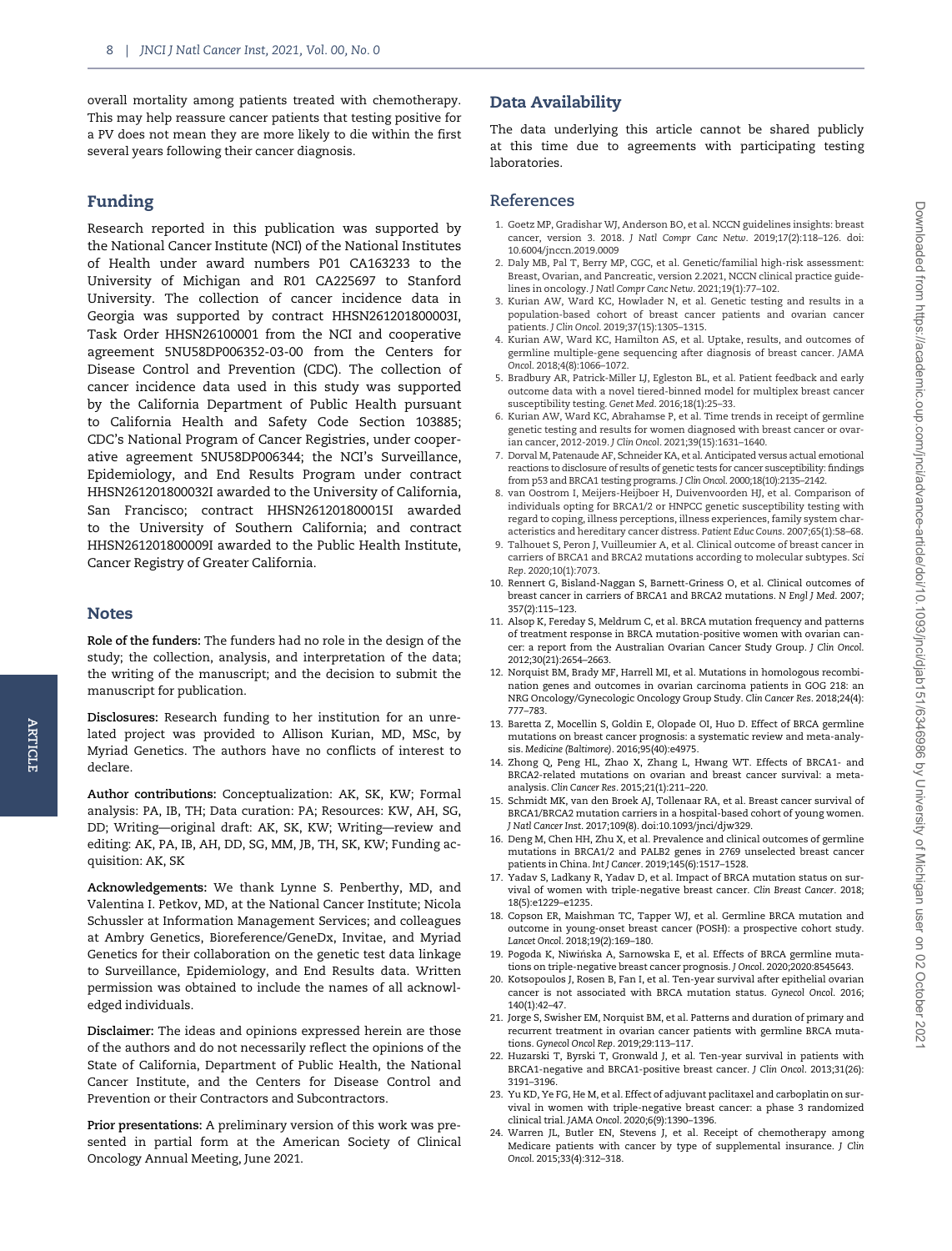<span id="page-7-0"></span>overall mortality among patients treated with chemotherapy. This may help reassure cancer patients that testing positive for a PV does not mean they are more likely to die within the first several years following their cancer diagnosis.

## Funding

Research reported in this publication was supported by the National Cancer Institute (NCI) of the National Institutes of Health under award numbers P01 CA163233 to the University of Michigan and R01 CA225697 to Stanford University. The collection of cancer incidence data in Georgia was supported by contract HHSN261201800003I, Task Order HHSN26100001 from the NCI and cooperative agreement 5NU58DP006352-03-00 from the Centers for Disease Control and Prevention (CDC). The collection of cancer incidence data used in this study was supported by the California Department of Public Health pursuant to California Health and Safety Code Section 103885; CDC's National Program of Cancer Registries, under cooperative agreement 5NU58DP006344; the NCI's Surveillance, Epidemiology, and End Results Program under contract HHSN261201800032I awarded to the University of California, San Francisco; contract HHSN261201800015I awarded to the University of Southern California; and contract HHSN261201800009I awarded to the Public Health Institute, Cancer Registry of Greater California.

## Notes

Role of the funders: The funders had no role in the design of the study; the collection, analysis, and interpretation of the data; the writing of the manuscript; and the decision to submit the manuscript for publication.

Disclosures: Research funding to her institution for an unrelated project was provided to Allison Kurian, MD, MSc, by Myriad Genetics. The authors have no conflicts of interest to declare.

Author contributions: Conceptualization: AK, SK, KW; Formal analysis: PA, IB, TH; Data curation: PA; Resources: KW, AH, SG, DD; Writing—original draft: AK, SK, KW; Writing—review and editing: AK, PA, IB, AH, DD, SG, MM, JB, TH, SK, KW; Funding acquisition: AK, SK

Acknowledgements: We thank Lynne S. Penberthy, MD, and Valentina I. Petkov, MD, at the National Cancer Institute; Nicola Schussler at Information Management Services; and colleagues at Ambry Genetics, Bioreference/GeneDx, Invitae, and Myriad Genetics for their collaboration on the genetic test data linkage to Surveillance, Epidemiology, and End Results data. Written permission was obtained to include the names of all acknowledged individuals.

Disclaimer: The ideas and opinions expressed herein are those of the authors and do not necessarily reflect the opinions of the State of California, Department of Public Health, the National Cancer Institute, and the Centers for Disease Control and Prevention or their Contractors and Subcontractors.

Prior presentations: A preliminary version of this work was presented in partial form at the American Society of Clinical Oncology Annual Meeting, June 2021.

## Data Availability

The data underlying this article cannot be shared publicly at this time due to agreements with participating testing laboratories.

## References

- 1. Goetz MP, Gradishar WJ, Anderson BO, et al. NCCN guidelines insights: breast cancer, version 3. 2018. J Natl Compr Canc Netw. 2019;17(2):118–126. doi: 10.6004/jnccn.2019.0009
- 2. Daly MB, Pal T, Berry MP, CGC, et al. Genetic/familial high-risk assessment: Breast, Ovarian, and Pancreatic, version 2.2021, NCCN clinical practice guidelines in oncology. J Natl Compr Canc Netw. 2021;19(1):77–102.
- 3. Kurian AW, Ward KC, Howlader N, et al. Genetic testing and results in a population-based cohort of breast cancer patients and ovarian cancer patients. J Clin Oncol. 2019;37(15):1305–1315.
- 4. Kurian AW, Ward KC, Hamilton AS, et al. Uptake, results, and outcomes of germline multiple-gene sequencing after diagnosis of breast cancer. JAMA Oncol. 2018;4(8):1066–1072.
- 5. Bradbury AR, Patrick-Miller LJ, Egleston BL, et al. Patient feedback and early outcome data with a novel tiered-binned model for multiplex breast cancer susceptibility testing. Genet Med. 2016;18(1):25–33.
- 6. Kurian AW, Ward KC, Abrahamse P, et al. Time trends in receipt of germline genetic testing and results for women diagnosed with breast cancer or ovarian cancer, 2012-2019. J Clin Oncol. 2021;39(15):1631–1640.
- 7. Dorval M, Patenaude AF, Schneider KA, et al. Anticipated versus actual emotional reactions to disclosure of results of genetic tests for cancer susceptibility: findings from p53 and BRCA1 testing programs. J Clin Oncol. 2000;18(10):2135–2142.
- 8. van Oostrom I, Meijers-Heijboer H, Duivenvoorden HJ, et al. Comparison of individuals opting for BRCA1/2 or HNPCC genetic susceptibility testing with regard to coping, illness perceptions, illness experiences, family system characteristics and hereditary cancer distress. Patient Educ Couns. 2007;65(1):58–68.
- 9. Talhouet S, Peron J, Vuilleumier A, et al. Clinical outcome of breast cancer in carriers of BRCA1 and BRCA2 mutations according to molecular subtypes. Sci Rep. 2020;10(1):7073.
- 10. Rennert G, Bisland-Naggan S, Barnett-Griness O, et al. Clinical outcomes of breast cancer in carriers of BRCA1 and BRCA2 mutations. N Engl J Med. 2007; 357(2):115–123.
- 11. Alsop K, Fereday S, Meldrum C, et al. BRCA mutation frequency and patterns of treatment response in BRCA mutation-positive women with ovarian cancer: a report from the Australian Ovarian Cancer Study Group. J Clin Oncol. 2012;30(21):2654–2663.
- 12. Norquist BM, Brady MF, Harrell MI, et al. Mutations in homologous recombination genes and outcomes in ovarian carcinoma patients in GOG 218: an NRG Oncology/Gynecologic Oncology Group Study. Clin Cancer Res. 2018;24(4): 777–783.
- 13. Baretta Z, Mocellin S, Goldin E, Olopade OI, Huo D. Effect of BRCA germline mutations on breast cancer prognosis: a systematic review and meta-analysis. Medicine (Baltimore). 2016;95(40):e4975.
- 14. Zhong Q, Peng HL, Zhao X, Zhang L, Hwang WT. Effects of BRCA1- and BRCA2-related mutations on ovarian and breast cancer survival: a metaanalysis. Clin Cancer Res. 2015;21(1):211–220.
- 15. Schmidt MK, van den Broek AJ, Tollenaar RA, et al. Breast cancer survival of BRCA1/BRCA2 mutation carriers in a hospital-based cohort of young women. J Natl Cancer Inst. 2017;109(8). doi:10.1093/jnci/djw329.
- 16. Deng M, Chen HH, Zhu X, et al. Prevalence and clinical outcomes of germline mutations in BRCA1/2 and PALB2 genes in 2769 unselected breast cancer patients in China. Int J Cancer. 2019;145(6):1517–1528.
- 17. Yadav S, Ladkany R, Yadav D, et al. Impact of BRCA mutation status on survival of women with triple-negative breast cancer. Clin Breast Cancer. 2018; 18(5):e1229–e1235.
- 18. Copson ER, Maishman TC, Tapper WJ, et al. Germline BRCA mutation and outcome in young-onset breast cancer (POSH): a prospective cohort study. Lancet Oncol. 2018;19(2):169–180.
- 19. Pogoda K, Niwinska A, Sarnowska E, et al. Effects of BRCA germline muta- tions on triple-negative breast cancer prognosis. J Oncol. 2020;2020:8545643.
- 20. Kotsopoulos J, Rosen B, Fan I, et al. Ten-year survival after epithelial ovarian cancer is not associated with BRCA mutation status. Gynecol Oncol. 2016; 140(1):42–47.
- 21. Jorge S, Swisher EM, Norquist BM, et al. Patterns and duration of primary and recurrent treatment in ovarian cancer patients with germline BRCA mutations. Gynecol Oncol Rep. 2019;29:113–117.
- 22. Huzarski T, Byrski T, Gronwald J, et al. Ten-year survival in patients with BRCA1-negative and BRCA1-positive breast cancer. J Clin Oncol. 2013;31(26): 3191–3196.
- 23. Yu KD, Ye FG, He M, et al. Effect of adjuvant paclitaxel and carboplatin on survival in women with triple-negative breast cancer: a phase 3 randomized clinical trial. JAMA Oncol. 2020;6(9):1390–1396.
- 24. Warren JL, Butler EN, Stevens J, et al. Receipt of chemotherapy among Medicare patients with cancer by type of supplemental insurance. J Clin Oncol. 2015;33(4):312–318.